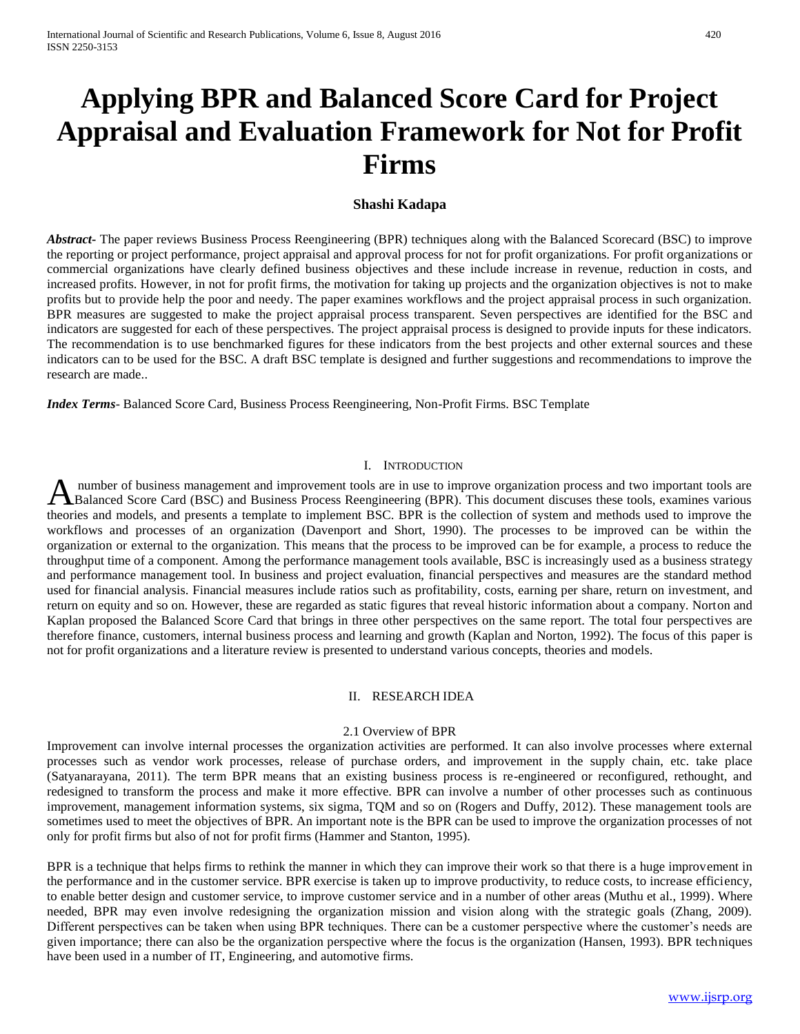# **Applying BPR and Balanced Score Card for Project Appraisal and Evaluation Framework for Not for Profit Firms**

## **Shashi Kadapa**

*Abstract***-** The paper reviews Business Process Reengineering (BPR) techniques along with the Balanced Scorecard (BSC) to improve the reporting or project performance, project appraisal and approval process for not for profit organizations. For profit organizations or commercial organizations have clearly defined business objectives and these include increase in revenue, reduction in costs, and increased profits. However, in not for profit firms, the motivation for taking up projects and the organization objectives is not to make profits but to provide help the poor and needy. The paper examines workflows and the project appraisal process in such organization. BPR measures are suggested to make the project appraisal process transparent. Seven perspectives are identified for the BSC and indicators are suggested for each of these perspectives. The project appraisal process is designed to provide inputs for these indicators. The recommendation is to use benchmarked figures for these indicators from the best projects and other external sources and these indicators can to be used for the BSC. A draft BSC template is designed and further suggestions and recommendations to improve the research are made..

*Index Terms*- Balanced Score Card, Business Process Reengineering, Non-Profit Firms. BSC Template

#### I. INTRODUCTION

number of business management and improvement tools are in use to improve organization process and two important tools are A number of business management and improvement tools are in use to improve organization process and two important tools are Balanced Score Card (BSC) and Business Process Reengineering (BPR). This document discusses these theories and models, and presents a template to implement BSC. BPR is the collection of system and methods used to improve the workflows and processes of an organization (Davenport and Short, 1990). The processes to be improved can be within the organization or external to the organization. This means that the process to be improved can be for example, a process to reduce the throughput time of a component. Among the performance management tools available, BSC is increasingly used as a business strategy and performance management tool. In business and project evaluation, financial perspectives and measures are the standard method used for financial analysis. Financial measures include ratios such as profitability, costs, earning per share, return on investment, and return on equity and so on. However, these are regarded as static figures that reveal historic information about a company. Norton and Kaplan proposed the Balanced Score Card that brings in three other perspectives on the same report. The total four perspectives are therefore finance, customers, internal business process and learning and growth (Kaplan and Norton, 1992). The focus of this paper is not for profit organizations and a literature review is presented to understand various concepts, theories and models.

#### II. RESEARCH IDEA

#### 2.1 Overview of BPR

Improvement can involve internal processes the organization activities are performed. It can also involve processes where external processes such as vendor work processes, release of purchase orders, and improvement in the supply chain, etc. take place (Satyanarayana, 2011). The term BPR means that an existing business process is re-engineered or reconfigured, rethought, and redesigned to transform the process and make it more effective. BPR can involve a number of other processes such as continuous improvement, management information systems, six sigma, TQM and so on (Rogers and Duffy, 2012). These management tools are sometimes used to meet the objectives of BPR. An important note is the BPR can be used to improve the organization processes of not only for profit firms but also of not for profit firms (Hammer and Stanton, 1995).

BPR is a technique that helps firms to rethink the manner in which they can improve their work so that there is a huge improvement in the performance and in the customer service. BPR exercise is taken up to improve productivity, to reduce costs, to increase efficiency, to enable better design and customer service, to improve customer service and in a number of other areas (Muthu et al., 1999). Where needed, BPR may even involve redesigning the organization mission and vision along with the strategic goals (Zhang, 2009). Different perspectives can be taken when using BPR techniques. There can be a customer perspective where the customer's needs are given importance; there can also be the organization perspective where the focus is the organization (Hansen, 1993). BPR techniques have been used in a number of IT, Engineering, and automotive firms.

[www.ijsrp.org](http://ijsrp.org/)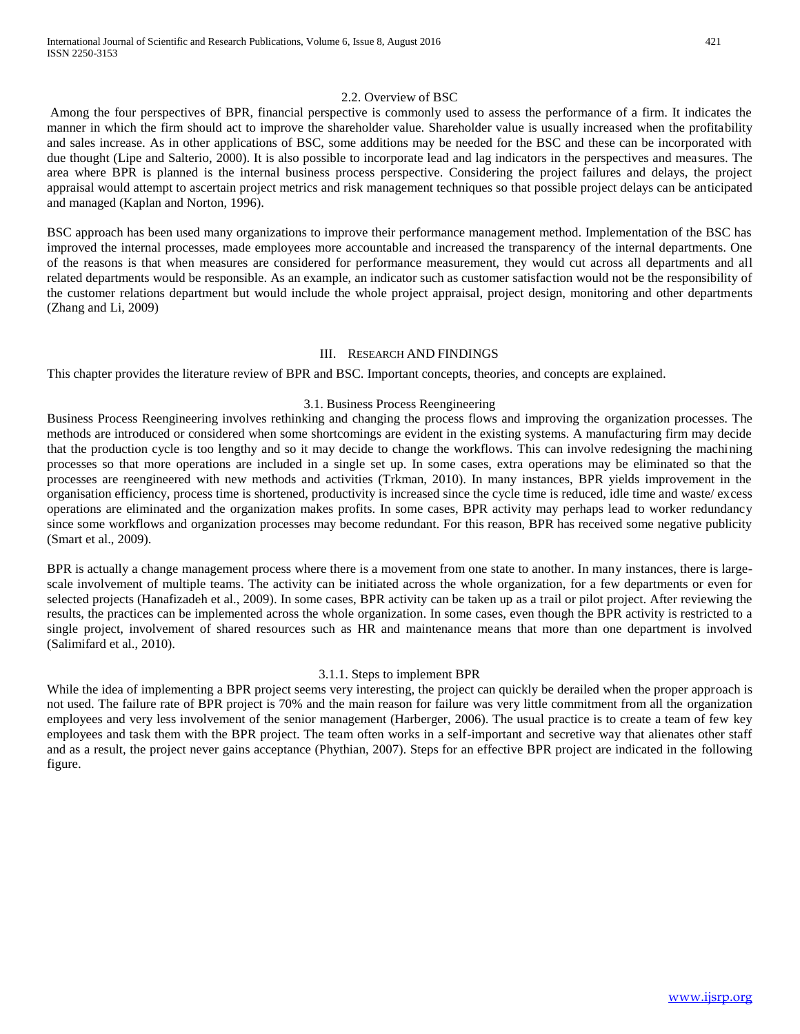Among the four perspectives of BPR, financial perspective is commonly used to assess the performance of a firm. It indicates the manner in which the firm should act to improve the shareholder value. Shareholder value is usually increased when the profitability and sales increase. As in other applications of BSC, some additions may be needed for the BSC and these can be incorporated with due thought (Lipe and Salterio, 2000). It is also possible to incorporate lead and lag indicators in the perspectives and measures. The area where BPR is planned is the internal business process perspective. Considering the project failures and delays, the project appraisal would attempt to ascertain project metrics and risk management techniques so that possible project delays can be anticipated and managed (Kaplan and Norton, 1996).

BSC approach has been used many organizations to improve their performance management method. Implementation of the BSC has improved the internal processes, made employees more accountable and increased the transparency of the internal departments. One of the reasons is that when measures are considered for performance measurement, they would cut across all departments and all related departments would be responsible. As an example, an indicator such as customer satisfaction would not be the responsibility of the customer relations department but would include the whole project appraisal, project design, monitoring and other departments (Zhang and Li, 2009)

#### III. RESEARCH AND FINDINGS

This chapter provides the literature review of BPR and BSC. Important concepts, theories, and concepts are explained.

#### 3.1. Business Process Reengineering

Business Process Reengineering involves rethinking and changing the process flows and improving the organization processes. The methods are introduced or considered when some shortcomings are evident in the existing systems. A manufacturing firm may decide that the production cycle is too lengthy and so it may decide to change the workflows. This can involve redesigning the machining processes so that more operations are included in a single set up. In some cases, extra operations may be eliminated so that the processes are reengineered with new methods and activities (Trkman, 2010). In many instances, BPR yields improvement in the organisation efficiency, process time is shortened, productivity is increased since the cycle time is reduced, idle time and waste/ excess operations are eliminated and the organization makes profits. In some cases, BPR activity may perhaps lead to worker redundancy since some workflows and organization processes may become redundant. For this reason, BPR has received some negative publicity (Smart et al., 2009).

BPR is actually a change management process where there is a movement from one state to another. In many instances, there is largescale involvement of multiple teams. The activity can be initiated across the whole organization, for a few departments or even for selected projects (Hanafizadeh et al., 2009). In some cases, BPR activity can be taken up as a trail or pilot project. After reviewing the results, the practices can be implemented across the whole organization. In some cases, even though the BPR activity is restricted to a single project, involvement of shared resources such as HR and maintenance means that more than one department is involved (Salimifard et al., 2010).

#### 3.1.1. Steps to implement BPR

While the idea of implementing a BPR project seems very interesting, the project can quickly be derailed when the proper approach is not used. The failure rate of BPR project is 70% and the main reason for failure was very little commitment from all the organization employees and very less involvement of the senior management (Harberger, 2006). The usual practice is to create a team of few key employees and task them with the BPR project. The team often works in a self-important and secretive way that alienates other staff and as a result, the project never gains acceptance (Phythian, 2007). Steps for an effective BPR project are indicated in the following figure.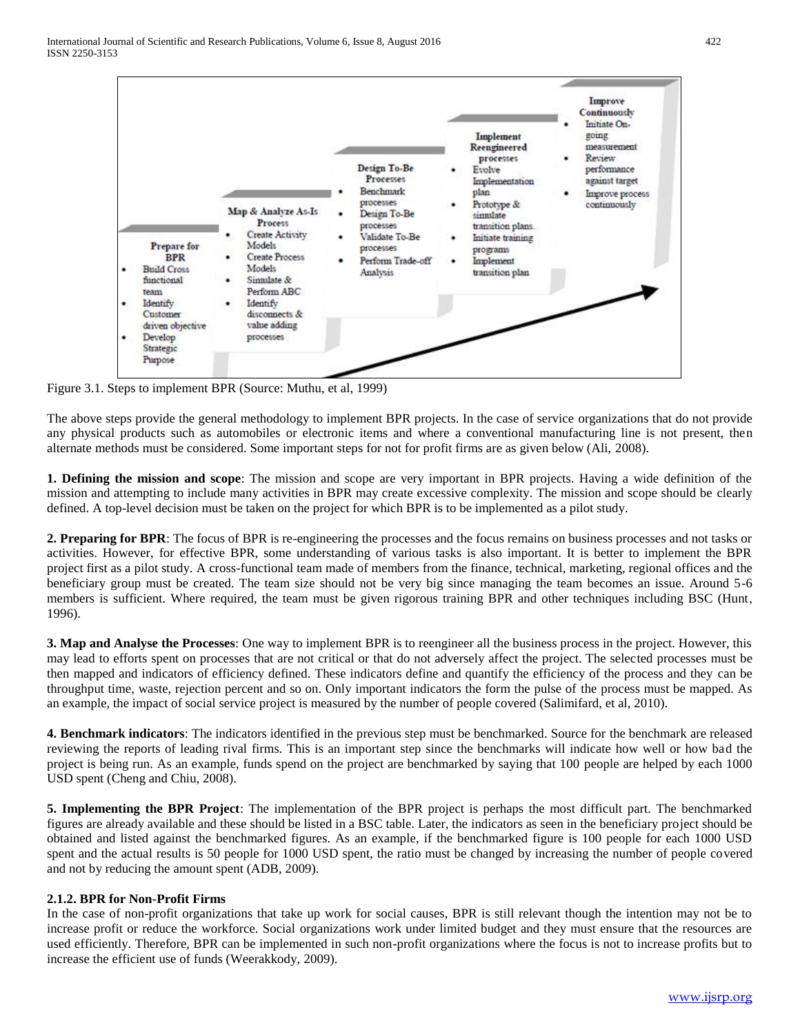

Figure 3.1. Steps to implement BPR (Source: Muthu, et al, 1999)

The above steps provide the general methodology to implement BPR projects. In the case of service organizations that do not provide any physical products such as automobiles or electronic items and where a conventional manufacturing line is not present, then alternate methods must be considered. Some important steps for not for profit firms are as given below (Ali, 2008).

**1. Defining the mission and scope**: The mission and scope are very important in BPR projects. Having a wide definition of the mission and attempting to include many activities in BPR may create excessive complexity. The mission and scope should be clearly defined. A top-level decision must be taken on the project for which BPR is to be implemented as a pilot study.

**2. Preparing for BPR**: The focus of BPR is re-engineering the processes and the focus remains on business processes and not tasks or activities. However, for effective BPR, some understanding of various tasks is also important. It is better to implement the BPR project first as a pilot study. A cross-functional team made of members from the finance, technical, marketing, regional offices and the beneficiary group must be created. The team size should not be very big since managing the team becomes an issue. Around 5-6 members is sufficient. Where required, the team must be given rigorous training BPR and other techniques including BSC (Hunt, 1996).

**3. Map and Analyse the Processes**: One way to implement BPR is to reengineer all the business process in the project. However, this may lead to efforts spent on processes that are not critical or that do not adversely affect the project. The selected processes must be then mapped and indicators of efficiency defined. These indicators define and quantify the efficiency of the process and they can be throughput time, waste, rejection percent and so on. Only important indicators the form the pulse of the process must be mapped. As an example, the impact of social service project is measured by the number of people covered (Salimifard, et al, 2010).

**4. Benchmark indicators**: The indicators identified in the previous step must be benchmarked. Source for the benchmark are released reviewing the reports of leading rival firms. This is an important step since the benchmarks will indicate how well or how bad the project is being run. As an example, funds spend on the project are benchmarked by saying that 100 people are helped by each 1000 USD spent (Cheng and Chiu, 2008).

**5. Implementing the BPR Project**: The implementation of the BPR project is perhaps the most difficult part. The benchmarked figures are already available and these should be listed in a BSC table. Later, the indicators as seen in the beneficiary project should be obtained and listed against the benchmarked figures. As an example, if the benchmarked figure is 100 people for each 1000 USD spent and the actual results is 50 people for 1000 USD spent, the ratio must be changed by increasing the number of people covered and not by reducing the amount spent (ADB, 2009).

#### **2.1.2. BPR for Non-Profit Firms**

In the case of non-profit organizations that take up work for social causes, BPR is still relevant though the intention may not be to increase profit or reduce the workforce. Social organizations work under limited budget and they must ensure that the resources are used efficiently. Therefore, BPR can be implemented in such non-profit organizations where the focus is not to increase profits but to increase the efficient use of funds (Weerakkody, 2009).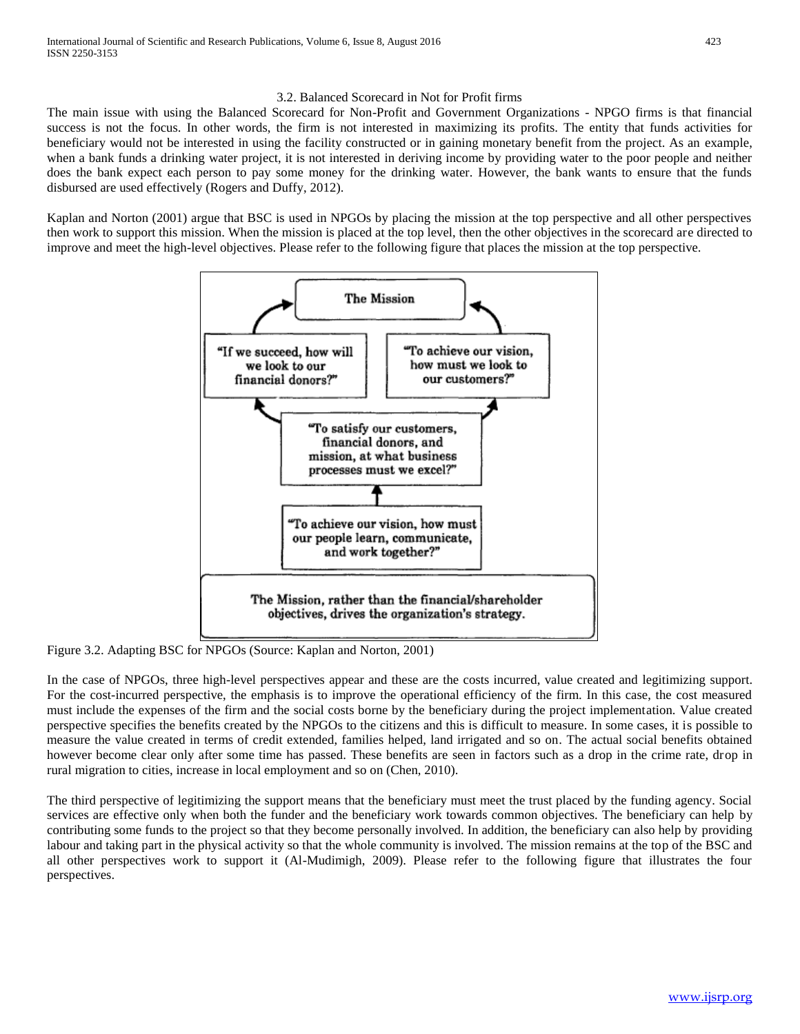## 3.2. Balanced Scorecard in Not for Profit firms

The main issue with using the Balanced Scorecard for Non-Profit and Government Organizations - NPGO firms is that financial success is not the focus. In other words, the firm is not interested in maximizing its profits. The entity that funds activities for beneficiary would not be interested in using the facility constructed or in gaining monetary benefit from the project. As an example, when a bank funds a drinking water project, it is not interested in deriving income by providing water to the poor people and neither does the bank expect each person to pay some money for the drinking water. However, the bank wants to ensure that the funds disbursed are used effectively (Rogers and Duffy, 2012).

Kaplan and Norton (2001) argue that BSC is used in NPGOs by placing the mission at the top perspective and all other perspectives then work to support this mission. When the mission is placed at the top level, then the other objectives in the scorecard are directed to improve and meet the high-level objectives. Please refer to the following figure that places the mission at the top perspective.



Figure 3.2. Adapting BSC for NPGOs (Source: Kaplan and Norton, 2001)

In the case of NPGOs, three high-level perspectives appear and these are the costs incurred, value created and legitimizing support. For the cost-incurred perspective, the emphasis is to improve the operational efficiency of the firm. In this case, the cost measured must include the expenses of the firm and the social costs borne by the beneficiary during the project implementation. Value created perspective specifies the benefits created by the NPGOs to the citizens and this is difficult to measure. In some cases, it is possible to measure the value created in terms of credit extended, families helped, land irrigated and so on. The actual social benefits obtained however become clear only after some time has passed. These benefits are seen in factors such as a drop in the crime rate, drop in rural migration to cities, increase in local employment and so on (Chen, 2010).

The third perspective of legitimizing the support means that the beneficiary must meet the trust placed by the funding agency. Social services are effective only when both the funder and the beneficiary work towards common objectives. The beneficiary can help by contributing some funds to the project so that they become personally involved. In addition, the beneficiary can also help by providing labour and taking part in the physical activity so that the whole community is involved. The mission remains at the top of the BSC and all other perspectives work to support it (Al-Mudimigh, 2009). Please refer to the following figure that illustrates the four perspectives.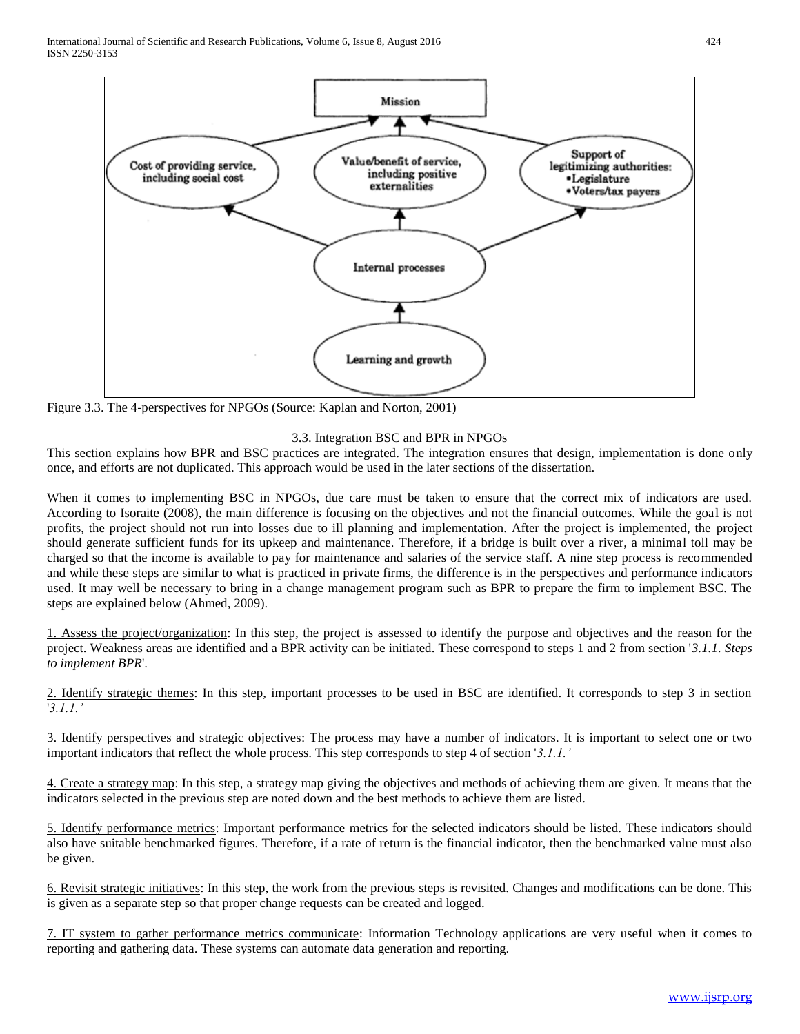

Figure 3.3. The 4-perspectives for NPGOs (Source: Kaplan and Norton, 2001)

#### 3.3. Integration BSC and BPR in NPGOs

This section explains how BPR and BSC practices are integrated. The integration ensures that design, implementation is done only once, and efforts are not duplicated. This approach would be used in the later sections of the dissertation.

When it comes to implementing BSC in NPGOs, due care must be taken to ensure that the correct mix of indicators are used. According to Isoraite (2008), the main difference is focusing on the objectives and not the financial outcomes. While the goal is not profits, the project should not run into losses due to ill planning and implementation. After the project is implemented, the project should generate sufficient funds for its upkeep and maintenance. Therefore, if a bridge is built over a river, a minimal toll may be charged so that the income is available to pay for maintenance and salaries of the service staff. A nine step process is recommended and while these steps are similar to what is practiced in private firms, the difference is in the perspectives and performance indicators used. It may well be necessary to bring in a change management program such as BPR to prepare the firm to implement BSC. The steps are explained below (Ahmed, 2009).

1. Assess the project/organization: In this step, the project is assessed to identify the purpose and objectives and the reason for the project. Weakness areas are identified and a BPR activity can be initiated. These correspond to steps 1 and 2 from section '*3.1.1. Steps to implement BPR*'.

2. Identify strategic themes: In this step, important processes to be used in BSC are identified. It corresponds to step 3 in section '*3.1.1.'*

3. Identify perspectives and strategic objectives: The process may have a number of indicators. It is important to select one or two important indicators that reflect the whole process. This step corresponds to step 4 of section '*3.1.1.'*

4. Create a strategy map: In this step, a strategy map giving the objectives and methods of achieving them are given. It means that the indicators selected in the previous step are noted down and the best methods to achieve them are listed.

5. Identify performance metrics: Important performance metrics for the selected indicators should be listed. These indicators should also have suitable benchmarked figures. Therefore, if a rate of return is the financial indicator, then the benchmarked value must also be given.

6. Revisit strategic initiatives: In this step, the work from the previous steps is revisited. Changes and modifications can be done. This is given as a separate step so that proper change requests can be created and logged.

7. IT system to gather performance metrics communicate: Information Technology applications are very useful when it comes to reporting and gathering data. These systems can automate data generation and reporting.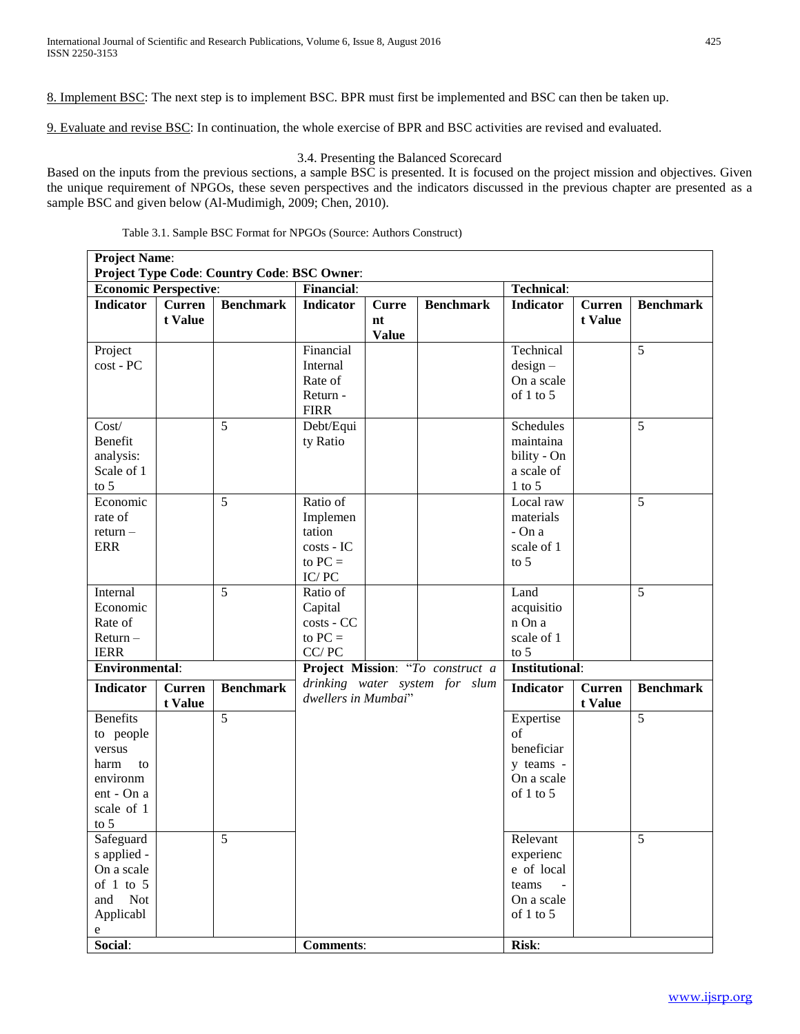8. Implement BSC: The next step is to implement BSC. BPR must first be implemented and BSC can then be taken up.

9. Evaluate and revise BSC: In continuation, the whole exercise of BPR and BSC activities are revised and evaluated.

3.4. Presenting the Balanced Scorecard

Based on the inputs from the previous sections, a sample BSC is presented. It is focused on the project mission and objectives. Given the unique requirement of NPGOs, these seven perspectives and the indicators discussed in the previous chapter are presented as a sample BSC and given below (Al-Mudimigh, 2009; Chen, 2010).

| Table 3.1. Sample BSC Format for NPGOs (Source: Authors Construct) |  |
|--------------------------------------------------------------------|--|
|--------------------------------------------------------------------|--|

| <b>Project Name:</b>                        |                          |                                  |                                                       |                                  |                       |                          |                          |                  |
|---------------------------------------------|--------------------------|----------------------------------|-------------------------------------------------------|----------------------------------|-----------------------|--------------------------|--------------------------|------------------|
| Project Type Code: Country Code: BSC Owner: |                          |                                  |                                                       |                                  |                       |                          |                          |                  |
| <b>Economic Perspective:</b>                |                          |                                  | <b>Financial:</b>                                     |                                  |                       | <b>Technical:</b>        |                          |                  |
| <b>Indicator</b>                            | <b>Curren</b><br>t Value | <b>Benchmark</b>                 | <b>Indicator</b>                                      | Curre<br>$n_{t}$<br><b>Value</b> | <b>Benchmark</b>      | <b>Indicator</b>         | <b>Curren</b><br>t Value | <b>Benchmark</b> |
| Project                                     |                          |                                  | Financial                                             |                                  |                       | Technical                |                          | 5                |
| cost - PC                                   |                          |                                  | Internal                                              |                                  |                       | $design -$               |                          |                  |
|                                             |                          |                                  | Rate of                                               |                                  |                       | On a scale               |                          |                  |
|                                             |                          |                                  | Return -                                              |                                  |                       | of 1 to $5$              |                          |                  |
|                                             |                          |                                  | <b>FIRR</b>                                           |                                  |                       |                          |                          |                  |
| Cost/                                       |                          | 5                                | Debt/Equi                                             |                                  |                       | Schedules                |                          | 5                |
| Benefit                                     |                          |                                  | ty Ratio                                              |                                  |                       | maintaina                |                          |                  |
| analysis:                                   |                          |                                  |                                                       |                                  |                       | bility - On              |                          |                  |
| Scale of 1                                  |                          |                                  |                                                       |                                  |                       | a scale of               |                          |                  |
| to $5$                                      |                          |                                  |                                                       |                                  |                       | $1$ to $5$               |                          |                  |
| Economic                                    |                          | 5                                | Ratio of                                              |                                  |                       | Local raw                |                          | 5                |
| rate of                                     |                          |                                  | Implemen                                              |                                  |                       | materials                |                          |                  |
| $return -$                                  |                          |                                  | tation                                                |                                  |                       | - On a                   |                          |                  |
| <b>ERR</b>                                  |                          |                                  | costs - IC                                            |                                  |                       | scale of 1               |                          |                  |
|                                             |                          |                                  | to $PC =$                                             |                                  |                       | to $5$                   |                          |                  |
|                                             |                          |                                  | IC/PC                                                 |                                  |                       |                          |                          |                  |
| Internal                                    |                          | 5                                | Ratio of                                              |                                  |                       | Land                     |                          | 5                |
| Economic                                    |                          |                                  | Capital                                               |                                  |                       | acquisitio               |                          |                  |
| Rate of                                     |                          |                                  | costs - CC                                            |                                  |                       | n On a                   |                          |                  |
| $Return -$                                  |                          |                                  | to $PC =$                                             |                                  |                       | scale of 1               |                          |                  |
| <b>IERR</b>                                 |                          |                                  | CC/PC                                                 |                                  |                       | to $5$                   |                          |                  |
| <b>Environmental:</b>                       |                          | Project Mission: "To construct a |                                                       |                                  | <b>Institutional:</b> |                          |                          |                  |
| <b>Indicator</b>                            | <b>Curren</b><br>t Value | <b>Benchmark</b>                 | drinking water system for slum<br>dwellers in Mumbai" |                                  | <b>Indicator</b>      | <b>Curren</b><br>t Value | <b>Benchmark</b>         |                  |
| <b>Benefits</b>                             |                          | $\overline{5}$                   |                                                       |                                  |                       | Expertise                |                          | 5                |
| to people                                   |                          |                                  |                                                       |                                  |                       | $\sigma$ f               |                          |                  |
| versus                                      |                          |                                  |                                                       |                                  |                       | beneficiar               |                          |                  |
| harm<br>to                                  |                          |                                  |                                                       |                                  |                       | y teams -                |                          |                  |
| environm                                    |                          |                                  |                                                       |                                  |                       | On a scale               |                          |                  |
| ent - On a                                  |                          |                                  |                                                       |                                  |                       | of 1 to 5                |                          |                  |
| scale of 1                                  |                          |                                  |                                                       |                                  |                       |                          |                          |                  |
| to $5$                                      |                          |                                  |                                                       |                                  |                       |                          |                          |                  |
| Safeguard                                   |                          | $\overline{5}$                   |                                                       |                                  |                       | Relevant                 |                          | $\overline{5}$   |
| s applied -                                 |                          |                                  |                                                       |                                  |                       | experienc                |                          |                  |
| On a scale                                  |                          |                                  |                                                       |                                  |                       | e of local               |                          |                  |
| of 1 to $5$                                 |                          |                                  |                                                       |                                  |                       | teams                    |                          |                  |
| and Not                                     |                          |                                  |                                                       |                                  |                       | On a scale               |                          |                  |
| Applicabl                                   |                          |                                  |                                                       |                                  |                       | of 1 to 5                |                          |                  |
| e                                           |                          |                                  |                                                       |                                  |                       |                          |                          |                  |
| Social:                                     |                          |                                  | <b>Comments:</b>                                      |                                  |                       | Risk:                    |                          |                  |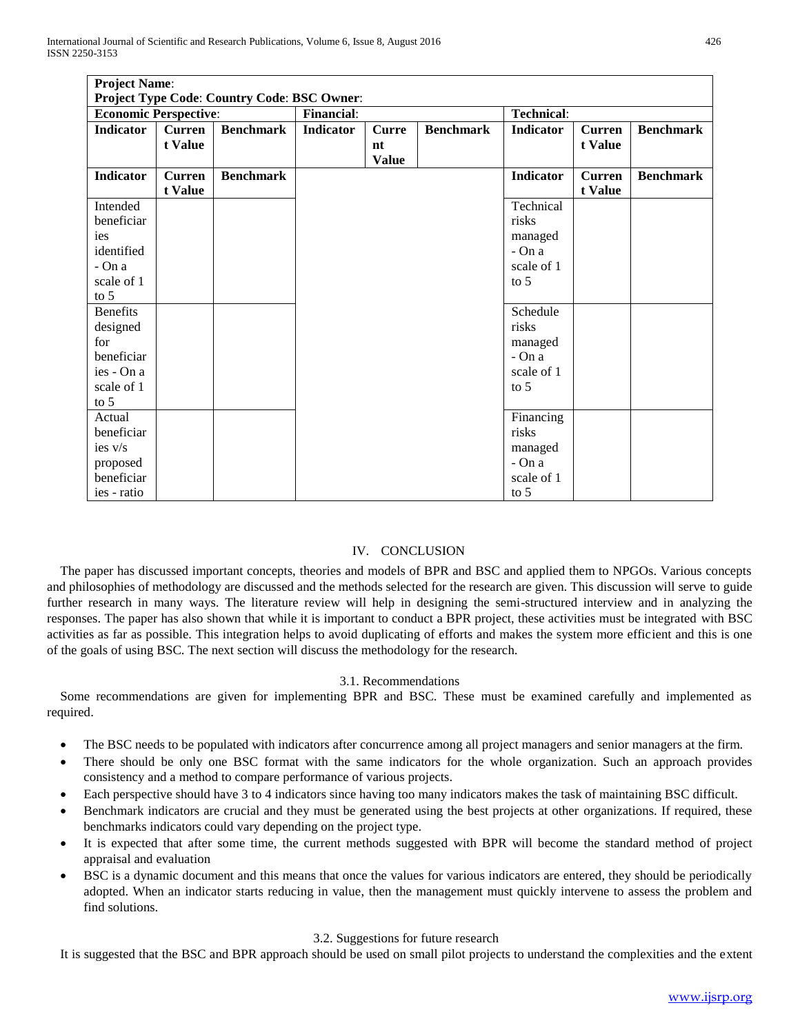| <b>Project Name:</b>                        |               |                  |                   |              |                  |                   |               |                  |
|---------------------------------------------|---------------|------------------|-------------------|--------------|------------------|-------------------|---------------|------------------|
| Project Type Code: Country Code: BSC Owner: |               |                  |                   |              |                  |                   |               |                  |
| <b>Economic Perspective:</b>                |               |                  | <b>Financial:</b> |              |                  | <b>Technical:</b> |               |                  |
| <b>Indicator</b>                            | <b>Curren</b> | <b>Benchmark</b> | <b>Indicator</b>  | <b>Curre</b> | <b>Benchmark</b> | <b>Indicator</b>  | <b>Curren</b> | <b>Benchmark</b> |
|                                             | t Value       |                  |                   | nt           |                  |                   | t Value       |                  |
|                                             |               |                  |                   | <b>Value</b> |                  |                   |               |                  |
| <b>Indicator</b>                            | <b>Curren</b> | <b>Benchmark</b> |                   |              |                  | <b>Indicator</b>  | <b>Curren</b> | <b>Benchmark</b> |
|                                             | t Value       |                  |                   |              |                  |                   | t Value       |                  |
| Intended                                    |               |                  |                   |              |                  | Technical         |               |                  |
| beneficiar                                  |               |                  |                   |              |                  | risks             |               |                  |
| ies                                         |               |                  |                   |              |                  | managed           |               |                  |
| identified                                  |               |                  |                   |              |                  | - On a            |               |                  |
| - On a                                      |               |                  |                   |              |                  | scale of 1        |               |                  |
| scale of 1                                  |               |                  |                   |              |                  | to $5$            |               |                  |
| to $5$                                      |               |                  |                   |              |                  |                   |               |                  |
| <b>Benefits</b>                             |               |                  |                   |              |                  | Schedule          |               |                  |
| designed                                    |               |                  |                   |              |                  | risks             |               |                  |
| for                                         |               |                  |                   |              |                  | managed           |               |                  |
| beneficiar                                  |               |                  |                   |              |                  | - On a            |               |                  |
| ies - On a                                  |               |                  |                   |              |                  | scale of 1        |               |                  |
| scale of 1                                  |               |                  |                   |              |                  | to $5$            |               |                  |
| to $5$                                      |               |                  |                   |              |                  |                   |               |                  |
| Actual                                      |               |                  |                   |              |                  | Financing         |               |                  |
| beneficiar                                  |               |                  |                   |              |                  | risks             |               |                  |
| ies v/s                                     |               |                  |                   |              |                  | managed           |               |                  |
| proposed                                    |               |                  |                   |              |                  | - On a            |               |                  |
| beneficiar                                  |               |                  |                   |              |                  | scale of 1        |               |                  |
| ies - ratio                                 |               |                  |                   |              |                  | to $5$            |               |                  |

#### IV. CONCLUSION

The paper has discussed important concepts, theories and models of BPR and BSC and applied them to NPGOs. Various concepts and philosophies of methodology are discussed and the methods selected for the research are given. This discussion will serve to guide further research in many ways. The literature review will help in designing the semi-structured interview and in analyzing the responses. The paper has also shown that while it is important to conduct a BPR project, these activities must be integrated with BSC activities as far as possible. This integration helps to avoid duplicating of efforts and makes the system more efficient and this is one of the goals of using BSC. The next section will discuss the methodology for the research.

#### 3.1. Recommendations

Some recommendations are given for implementing BPR and BSC. These must be examined carefully and implemented as required.

- The BSC needs to be populated with indicators after concurrence among all project managers and senior managers at the firm.
- There should be only one BSC format with the same indicators for the whole organization. Such an approach provides consistency and a method to compare performance of various projects.
- Each perspective should have 3 to 4 indicators since having too many indicators makes the task of maintaining BSC difficult.
- Benchmark indicators are crucial and they must be generated using the best projects at other organizations. If required, these benchmarks indicators could vary depending on the project type.
- It is expected that after some time, the current methods suggested with BPR will become the standard method of project appraisal and evaluation
- BSC is a dynamic document and this means that once the values for various indicators are entered, they should be periodically adopted. When an indicator starts reducing in value, then the management must quickly intervene to assess the problem and find solutions.

#### 3.2. Suggestions for future research

It is suggested that the BSC and BPR approach should be used on small pilot projects to understand the complexities and the extent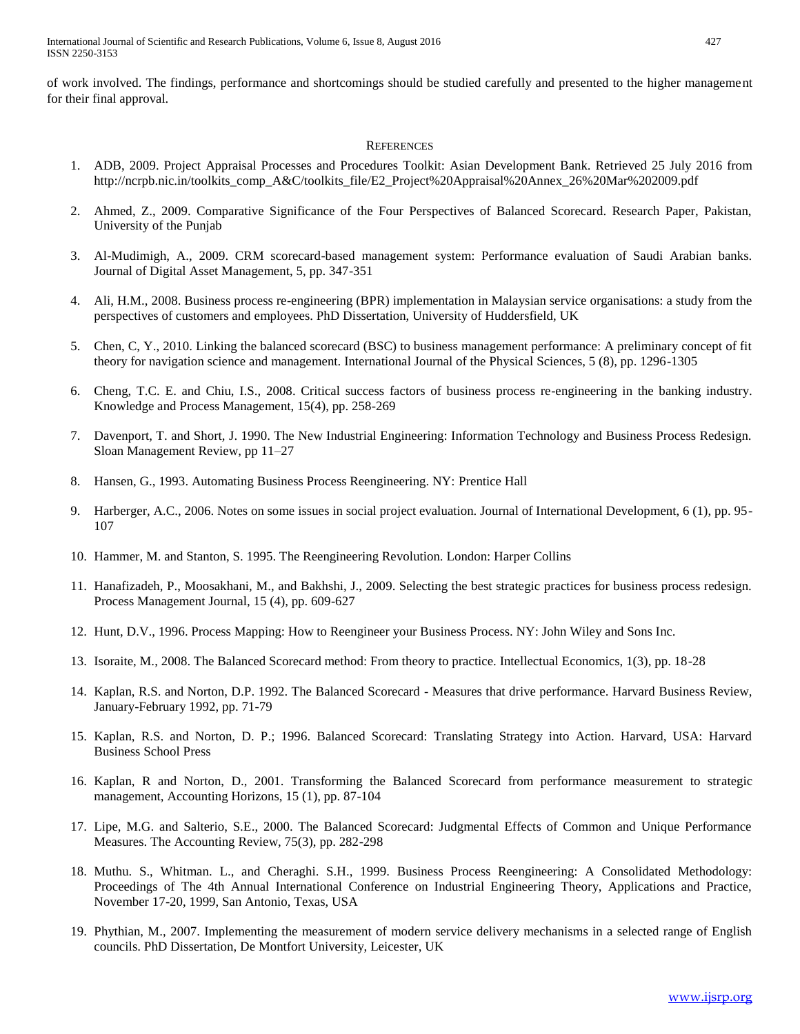of work involved. The findings, performance and shortcomings should be studied carefully and presented to the higher management for their final approval.

#### **REFERENCES**

- 1. ADB, 2009. Project Appraisal Processes and Procedures Toolkit: Asian Development Bank. Retrieved 25 July 2016 from http://ncrpb.nic.in/toolkits\_comp\_A&C/toolkits\_file/E2\_Project%20Appraisal%20Annex\_26%20Mar%202009.pdf
- 2. Ahmed, Z., 2009. Comparative Significance of the Four Perspectives of Balanced Scorecard. Research Paper, Pakistan, University of the Punjab
- 3. Al-Mudimigh, A., 2009. CRM scorecard-based management system: Performance evaluation of Saudi Arabian banks. Journal of Digital Asset Management, 5, pp. 347-351
- 4. Ali, H.M., 2008. Business process re-engineering (BPR) implementation in Malaysian service organisations: a study from the perspectives of customers and employees. PhD Dissertation, University of Huddersfield, UK
- 5. Chen, C, Y., 2010. Linking the balanced scorecard (BSC) to business management performance: A preliminary concept of fit theory for navigation science and management. International Journal of the Physical Sciences, 5 (8), pp. 1296-1305
- 6. Cheng, T.C. E. and Chiu, I.S., 2008. Critical success factors of business process re-engineering in the banking industry. Knowledge and Process Management, 15(4), pp. 258-269
- 7. Davenport, T. and Short, J. 1990. The New Industrial Engineering: Information Technology and Business Process Redesign. Sloan Management Review, pp 11–27
- 8. Hansen, G., 1993. Automating Business Process Reengineering. NY: Prentice Hall
- 9. Harberger, A.C., 2006. Notes on some issues in social project evaluation. Journal of International Development, 6 (1), pp. 95- 107
- 10. Hammer, M. and Stanton, S. 1995. The Reengineering Revolution. London: Harper Collins
- 11. Hanafizadeh, P., Moosakhani, M., and Bakhshi, J., 2009. Selecting the best strategic practices for business process redesign. Process Management Journal, 15 (4), pp. 609-627
- 12. Hunt, D.V., 1996. Process Mapping: How to Reengineer your Business Process. NY: John Wiley and Sons Inc.
- 13. Isoraite, M., 2008. The Balanced Scorecard method: From theory to practice. Intellectual Economics, 1(3), pp. 18-28
- 14. Kaplan, R.S. and Norton, D.P. 1992. The Balanced Scorecard Measures that drive performance. Harvard Business Review, January-February 1992, pp. 71-79
- 15. Kaplan, R.S. and Norton, D. P.; 1996. Balanced Scorecard: Translating Strategy into Action. Harvard, USA: Harvard Business School Press
- 16. Kaplan, R and Norton, D., 2001. Transforming the Balanced Scorecard from performance measurement to strategic management, Accounting Horizons, 15 (1), pp. 87-104
- 17. Lipe, M.G. and Salterio, S.E., 2000. The Balanced Scorecard: Judgmental Effects of Common and Unique Performance Measures. The Accounting Review, 75(3), pp. 282-298
- 18. Muthu. S., Whitman. L., and Cheraghi. S.H., 1999. Business Process Reengineering: A Consolidated Methodology: Proceedings of The 4th Annual International Conference on Industrial Engineering Theory, Applications and Practice, November 17-20, 1999, San Antonio, Texas, USA
- 19. Phythian, M., 2007. Implementing the measurement of modern service delivery mechanisms in a selected range of English councils. PhD Dissertation, De Montfort University, Leicester, UK